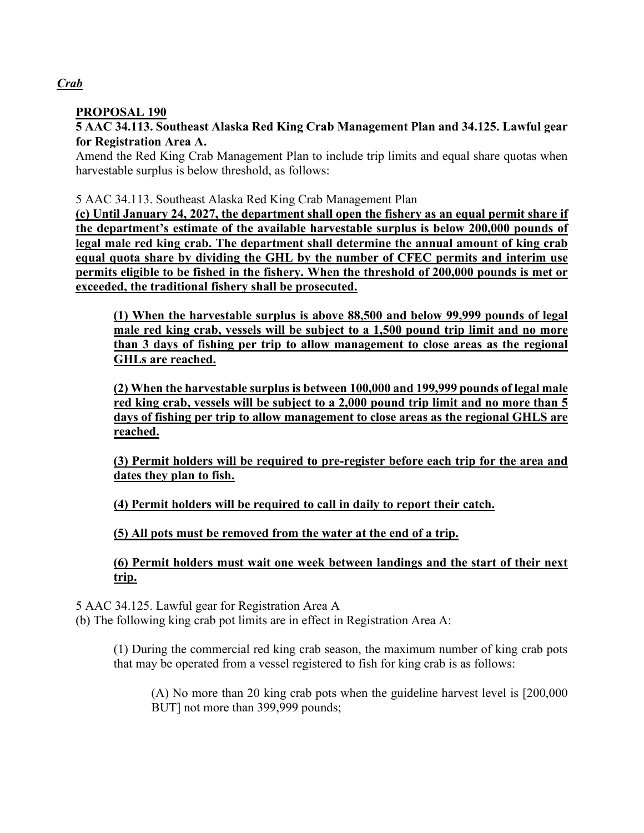# **PROPOSAL 190**

**5 AAC 34.113. Southeast Alaska Red King Crab Management Plan and 34.125. Lawful gear for Registration Area A.**

Amend the Red King Crab Management Plan to include trip limits and equal share quotas when harvestable surplus is below threshold, as follows:

5 AAC 34.113. Southeast Alaska Red King Crab Management Plan

**(c) Until January 24, 2027, the department shall open the fishery as an equal permit share if the department's estimate of the available harvestable surplus is below 200,000 pounds of legal male red king crab. The department shall determine the annual amount of king crab equal quota share by dividing the GHL by the number of CFEC permits and interim use permits eligible to be fished in the fishery. When the threshold of 200,000 pounds is met or exceeded, the traditional fishery shall be prosecuted.**

**(1) When the harvestable surplus is above 88,500 and below 99,999 pounds of legal male red king crab, vessels will be subject to a 1,500 pound trip limit and no more than 3 days of fishing per trip to allow management to close areas as the regional GHLs are reached.** 

**(2) When the harvestable surplus is between 100,000 and 199,999 pounds of legal male red king crab, vessels will be subject to a 2,000 pound trip limit and no more than 5 days of fishing per trip to allow management to close areas as the regional GHLS are reached.** 

**(3) Permit holders will be required to pre-register before each trip for the area and dates they plan to fish.** 

**(4) Permit holders will be required to call in daily to report their catch.** 

**(5) All pots must be removed from the water at the end of a trip.** 

**(6) Permit holders must wait one week between landings and the start of their next trip.** 

5 AAC 34.125. Lawful gear for Registration Area A

(b) The following king crab pot limits are in effect in Registration Area A:

(1) During the commercial red king crab season, the maximum number of king crab pots that may be operated from a vessel registered to fish for king crab is as follows:

(A) No more than 20 king crab pots when the guideline harvest level is [200,000 BUT] not more than 399,999 pounds;

# *Crab*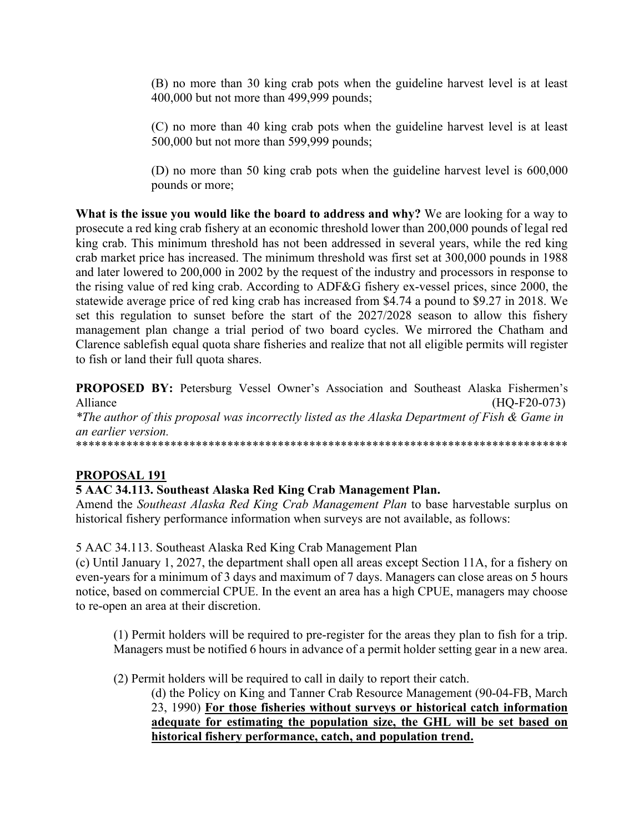(B) no more than 30 king crab pots when the guideline harvest level is at least 400,000 but not more than 499,999 pounds;

(C) no more than 40 king crab pots when the guideline harvest level is at least 500,000 but not more than 599,999 pounds;

(D) no more than 50 king crab pots when the guideline harvest level is 600,000 pounds or more;

**What is the issue you would like the board to address and why?** We are looking for a way to prosecute a red king crab fishery at an economic threshold lower than 200,000 pounds of legal red king crab. This minimum threshold has not been addressed in several years, while the red king crab market price has increased. The minimum threshold was first set at 300,000 pounds in 1988 and later lowered to 200,000 in 2002 by the request of the industry and processors in response to the rising value of red king crab. According to ADF&G fishery ex-vessel prices, since 2000, the statewide average price of red king crab has increased from \$4.74 a pound to \$9.27 in 2018. We set this regulation to sunset before the start of the 2027/2028 season to allow this fishery management plan change a trial period of two board cycles. We mirrored the Chatham and Clarence sablefish equal quota share fisheries and realize that not all eligible permits will register to fish or land their full quota shares.

**PROPOSED BY:** Petersburg Vessel Owner's Association and Southeast Alaska Fishermen's Alliance (HQ-F20-073) *\*The author of this proposal was incorrectly listed as the Alaska Department of Fish & Game in an earlier version.*  \*\*\*\*\*\*\*\*\*\*\*\*\*\*\*\*\*\*\*\*\*\*\*\*\*\*\*\*\*\*\*\*\*\*\*\*\*\*\*\*\*\*\*\*\*\*\*\*\*\*\*\*\*\*\*\*\*\*\*\*\*\*\*\*\*\*\*\*\*\*\*\*\*\*\*\*\*\*

## **PROPOSAL 191**

## **5 AAC 34.113. Southeast Alaska Red King Crab Management Plan.**

Amend the *Southeast Alaska Red King Crab Management Plan* to base harvestable surplus on historical fishery performance information when surveys are not available, as follows:

5 AAC 34.113. Southeast Alaska Red King Crab Management Plan

(c) Until January 1, 2027, the department shall open all areas except Section 11A, for a fishery on even-years for a minimum of 3 days and maximum of 7 days. Managers can close areas on 5 hours notice, based on commercial CPUE. In the event an area has a high CPUE, managers may choose to re-open an area at their discretion.

(1) Permit holders will be required to pre-register for the areas they plan to fish for a trip. Managers must be notified 6 hours in advance of a permit holder setting gear in a new area.

(2) Permit holders will be required to call in daily to report their catch.

(d) the Policy on King and Tanner Crab Resource Management (90-04-FB, March 23, 1990) **For those fisheries without surveys or historical catch information adequate for estimating the population size, the GHL will be set based on historical fishery performance, catch, and population trend.**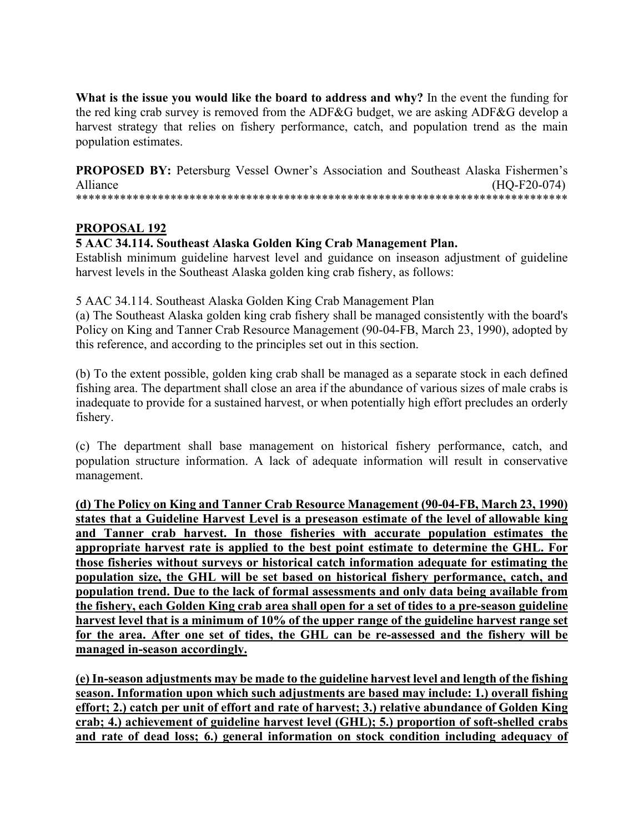**What is the issue you would like the board to address and why?** In the event the funding for the red king crab survey is removed from the ADF&G budget, we are asking ADF&G develop a harvest strategy that relies on fishery performance, catch, and population trend as the main population estimates.

**PROPOSED BY:** Petersburg Vessel Owner's Association and Southeast Alaska Fishermen's Alliance (HQ-F20-074) \*\*\*\*\*\*\*\*\*\*\*\*\*\*\*\*\*\*\*\*\*\*\*\*\*\*\*\*\*\*\*\*\*\*\*\*\*\*\*\*\*\*\*\*\*\*\*\*\*\*\*\*\*\*\*\*\*\*\*\*\*\*\*\*\*\*\*\*\*\*\*\*\*\*\*\*\*\*

## **PROPOSAL 192**

**5 AAC 34.114. Southeast Alaska Golden King Crab Management Plan.**

Establish minimum guideline harvest level and guidance on inseason adjustment of guideline harvest levels in the Southeast Alaska golden king crab fishery, as follows:

5 AAC 34.114. Southeast Alaska Golden King Crab Management Plan

(a) The Southeast Alaska golden king crab fishery shall be managed consistently with the board's Policy on King and Tanner Crab Resource Management (90-04-FB, March 23, 1990), adopted by this reference, and according to the principles set out in this section.

(b) To the extent possible, golden king crab shall be managed as a separate stock in each defined fishing area. The department shall close an area if the abundance of various sizes of male crabs is inadequate to provide for a sustained harvest, or when potentially high effort precludes an orderly fishery.

(c) The department shall base management on historical fishery performance, catch, and population structure information. A lack of adequate information will result in conservative management.

**(d) The Policy on King and Tanner Crab Resource Management (90-04-FB, March 23, 1990) states that a Guideline Harvest Level is a preseason estimate of the level of allowable king and Tanner crab harvest. In those fisheries with accurate population estimates the appropriate harvest rate is applied to the best point estimate to determine the GHL. For those fisheries without surveys or historical catch information adequate for estimating the population size, the GHL will be set based on historical fishery performance, catch, and population trend. Due to the lack of formal assessments and only data being available from the fishery, each Golden King crab area shall open for a set of tides to a pre-season guideline harvest level that is a minimum of 10% of the upper range of the guideline harvest range set for the area. After one set of tides, the GHL can be re-assessed and the fishery will be managed in-season accordingly.** 

**(e) In-season adjustments may be made to the guideline harvest level and length of the fishing season. Information upon which such adjustments are based may include: 1.) overall fishing effort; 2.) catch per unit of effort and rate of harvest; 3.) relative abundance of Golden King crab; 4.) achievement of guideline harvest level (GHL); 5.) proportion of soft-shelled crabs and rate of dead loss; 6.) general information on stock condition including adequacy of**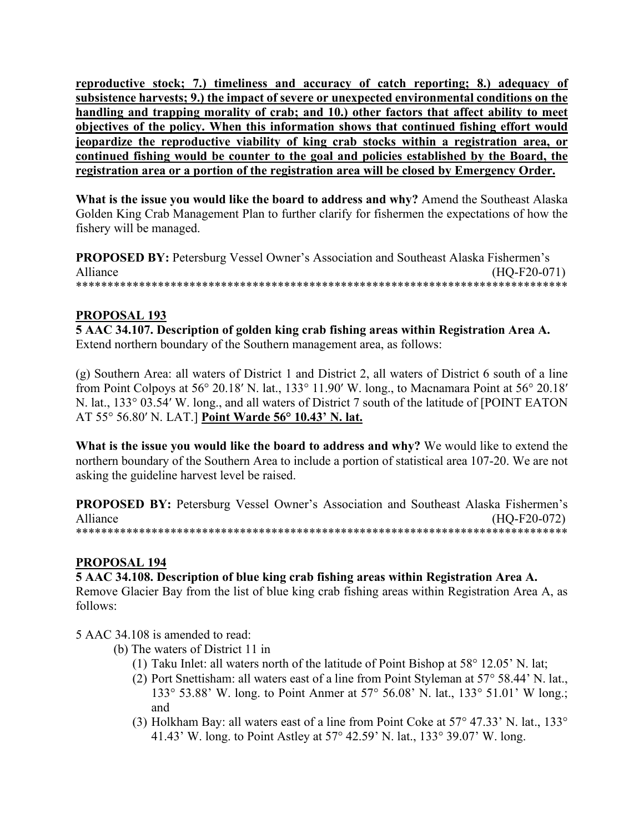reproductive stock; 7.) timeliness and accuracy of catch reporting; 8.) adequacy of subsistence harvests; 9.) the impact of severe or unexpected environmental conditions on the handling and trapping morality of crab; and 10.) other factors that affect ability to meet objectives of the policy. When this information shows that continued fishing effort would jeopardize the reproductive viability of king crab stocks within a registration area, or continued fishing would be counter to the goal and policies established by the Board, the registration area or a portion of the registration area will be closed by Emergency Order.

What is the issue you would like the board to address and why? Amend the Southeast Alaska Golden King Crab Management Plan to further clarify for fishermen the expectations of how the fishery will be managed.

**PROPOSED BY:** Petersburg Vessel Owner's Association and Southeast Alaska Fishermen's Alliance  $(HQ-F20-071)$ 

## **PROPOSAL 193**

5 AAC 34.107. Description of golden king crab fishing areas within Registration Area A. Extend northern boundary of the Southern management area, as follows:

(g) Southern Area: all waters of District 1 and District 2, all waters of District 6 south of a line from Point Colpoys at 56° 20.18' N. lat., 133° 11.90' W. long., to Macnamara Point at 56° 20.18' N. lat., 133° 03.54′ W. long., and all waters of District 7 south of the latitude of [POINT EATON] AT 55° 56.80' N. LAT.] Point Warde 56° 10.43' N. lat.

What is the issue you would like the board to address and why? We would like to extend the northern boundary of the Southern Area to include a portion of statistical area 107-20. We are not asking the guideline harvest level be raised.

**PROPOSED BY:** Petersburg Vessel Owner's Association and Southeast Alaska Fishermen's Alliance  $(HO-F20-072)$ 

## **PROPOSAL 194**

## 5 AAC 34.108. Description of blue king crab fishing areas within Registration Area A.

Remove Glacier Bay from the list of blue king crab fishing areas within Registration Area A, as follows:

5 AAC 34.108 is amended to read:

- (b) The waters of District 11 in
	- (1) Taku Inlet: all waters north of the latitude of Point Bishop at  $58^{\circ}$  12.05' N. lat;
	- (2) Port Snettisham: all waters east of a line from Point Styleman at 57° 58.44' N. lat., 133° 53.88' W. long. to Point Anmer at 57° 56.08' N. lat., 133° 51.01' W long.; and
	- (3) Holkham Bay: all waters east of a line from Point Coke at  $57^{\circ}$  47.33' N. lat., 133° 41.43' W. long. to Point Astley at 57° 42.59' N. lat., 133° 39.07' W. long.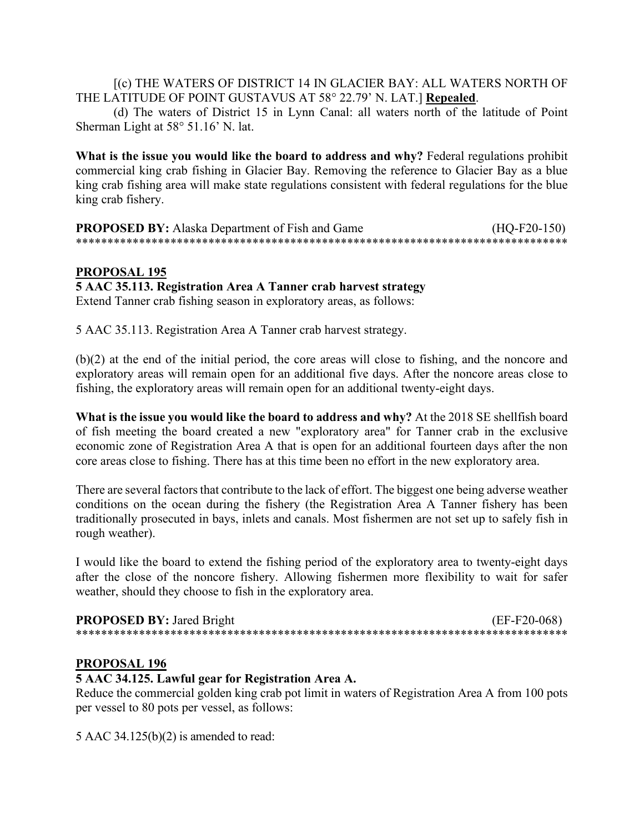### [(c) THE WATERS OF DISTRICT 14 IN GLACIER BAY: ALL WATERS NORTH OF THE LATITUDE OF POINT GUSTAVUS AT 58° 22.79' N. LAT.] **Repealed**.

(d) The waters of District 15 in Lynn Canal: all waters north of the latitude of Point Sherman Light at 58° 51.16' N. lat.

What is the issue you would like the board to address and why? Federal regulations prohibit commercial king crab fishing in Glacier Bay. Removing the reference to Glacier Bay as a blue king crab fishing area will make state regulations consistent with federal regulations for the blue king crab fishery.

**PROPOSED BY:** Alaska Department of Fish and Game (HQ-F20-150) \*\*\*\*\*\*\*\*\*\*\*\*\*\*\*\*\*\*\*\*\*\*\*\*\*\*\*\*\*\*\*\*\*\*\*\*\*\*\*\*\*\*\*\*\*\*\*\*\*\*\*\*\*\*\*\*\*\*\*\*\*\*\*\*\*\*\*\*\*\*\*\*\*\*\*\*\*\*

### **PROPOSAL 195**

## **5 AAC 35.113. Registration Area A Tanner crab harvest strategy**

Extend Tanner crab fishing season in exploratory areas, as follows:

5 AAC 35.113. Registration Area A Tanner crab harvest strategy.

(b)(2) at the end of the initial period, the core areas will close to fishing, and the noncore and exploratory areas will remain open for an additional five days. After the noncore areas close to fishing, the exploratory areas will remain open for an additional twenty-eight days.

**What is the issue you would like the board to address and why?** At the 2018 SE shellfish board of fish meeting the board created a new "exploratory area" for Tanner crab in the exclusive economic zone of Registration Area A that is open for an additional fourteen days after the non core areas close to fishing. There has at this time been no effort in the new exploratory area.

There are several factors that contribute to the lack of effort. The biggest one being adverse weather conditions on the ocean during the fishery (the Registration Area A Tanner fishery has been traditionally prosecuted in bays, inlets and canals. Most fishermen are not set up to safely fish in rough weather).

I would like the board to extend the fishing period of the exploratory area to twenty-eight days after the close of the noncore fishery. Allowing fishermen more flexibility to wait for safer weather, should they choose to fish in the exploratory area.

| <b>PROPOSED BY: Jared Bright</b> | $(EF-F20-068)$ |
|----------------------------------|----------------|
|                                  |                |

### **PROPOSAL 196**

#### **5 AAC 34.125. Lawful gear for Registration Area A.**

Reduce the commercial golden king crab pot limit in waters of Registration Area A from 100 pots per vessel to 80 pots per vessel, as follows:

5 AAC 34.125(b)(2) is amended to read: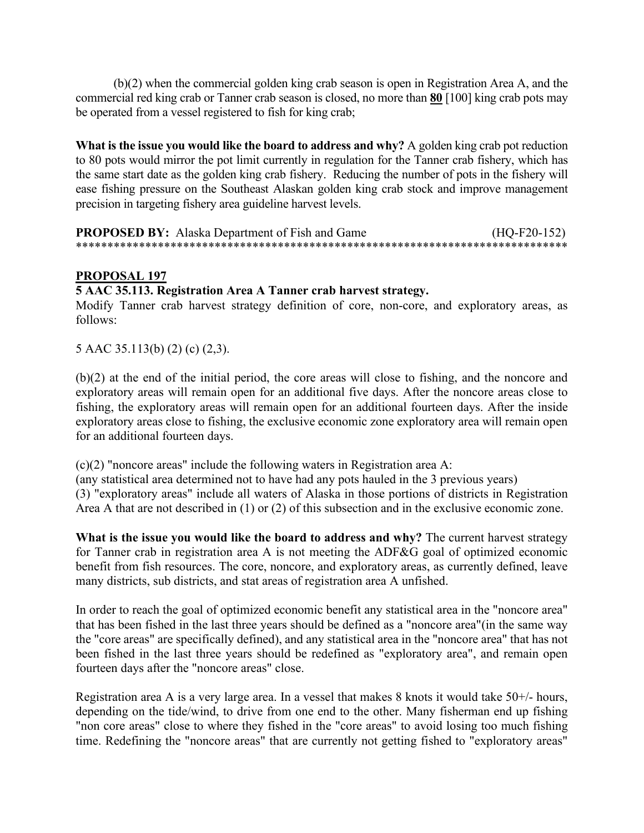(b)(2) when the commercial golden king crab season is open in Registration Area A, and the commercial red king crab or Tanner crab season is closed, no more than **80** [100] king crab pots may be operated from a vessel registered to fish for king crab;

**What is the issue you would like the board to address and why?** A golden king crab pot reduction to 80 pots would mirror the pot limit currently in regulation for the Tanner crab fishery, which has the same start date as the golden king crab fishery. Reducing the number of pots in the fishery will ease fishing pressure on the Southeast Alaskan golden king crab stock and improve management precision in targeting fishery area guideline harvest levels.

**PROPOSED BY:** Alaska Department of Fish and Game (HQ-F20-152) \*\*\*\*\*\*\*\*\*\*\*\*\*\*\*\*\*\*\*\*\*\*\*\*\*\*\*\*\*\*\*\*\*\*\*\*\*\*\*\*\*\*\*\*\*\*\*\*\*\*\*\*\*\*\*\*\*\*\*\*\*\*\*\*\*\*\*\*\*\*\*\*\*\*\*\*\*\*

## **PROPOSAL 197**

### **5 AAC 35.113. Registration Area A Tanner crab harvest strategy.**

Modify Tanner crab harvest strategy definition of core, non-core, and exploratory areas, as follows:

5 AAC 35.113(b) (2) (c) (2,3).

(b)(2) at the end of the initial period, the core areas will close to fishing, and the noncore and exploratory areas will remain open for an additional five days. After the noncore areas close to fishing, the exploratory areas will remain open for an additional fourteen days. After the inside exploratory areas close to fishing, the exclusive economic zone exploratory area will remain open for an additional fourteen days.

(c)(2) "noncore areas" include the following waters in Registration area A:

(any statistical area determined not to have had any pots hauled in the 3 previous years) (3) "exploratory areas" include all waters of Alaska in those portions of districts in Registration Area A that are not described in (1) or (2) of this subsection and in the exclusive economic zone.

**What is the issue you would like the board to address and why?** The current harvest strategy for Tanner crab in registration area A is not meeting the ADF&G goal of optimized economic benefit from fish resources. The core, noncore, and exploratory areas, as currently defined, leave many districts, sub districts, and stat areas of registration area A unfished.

In order to reach the goal of optimized economic benefit any statistical area in the "noncore area" that has been fished in the last three years should be defined as a "noncore area"(in the same way the "core areas" are specifically defined), and any statistical area in the "noncore area" that has not been fished in the last three years should be redefined as "exploratory area", and remain open fourteen days after the "noncore areas" close.

Registration area A is a very large area. In a vessel that makes 8 knots it would take 50+/- hours, depending on the tide/wind, to drive from one end to the other. Many fisherman end up fishing "non core areas" close to where they fished in the "core areas" to avoid losing too much fishing time. Redefining the "noncore areas" that are currently not getting fished to "exploratory areas"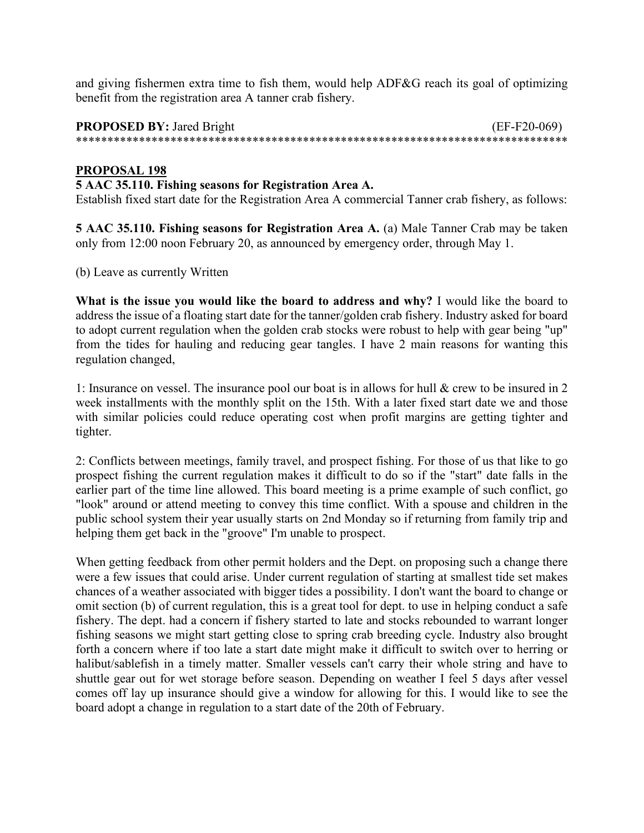and giving fishermen extra time to fish them, would help ADF&G reach its goal of optimizing benefit from the registration area A tanner crab fishery.

#### **PROPOSED BY:** Jared Bright (EF-F20-069) \*\*\*\*\*\*\*\*\*\*\*\*\*\*\*\*\*\*\*\*\*\*\*\*\*\*\*\*\*\*\*\*\*\*\*\*\*\*\*\*\*\*\*\*\*\*\*\*\*\*\*\*\*\*\*\*\*\*\*\*\*\*\*\*\*\*\*\*\*\*\*\*\*\*\*\*\*\*

### **PROPOSAL 198**

### **5 AAC 35.110. Fishing seasons for Registration Area A.**

Establish fixed start date for the Registration Area A commercial Tanner crab fishery, as follows:

**5 AAC 35.110. Fishing seasons for Registration Area A.** (a) Male Tanner Crab may be taken only from 12:00 noon February 20, as announced by emergency order, through May 1.

(b) Leave as currently Written

**What is the issue you would like the board to address and why?** I would like the board to address the issue of a floating start date for the tanner/golden crab fishery. Industry asked for board to adopt current regulation when the golden crab stocks were robust to help with gear being "up" from the tides for hauling and reducing gear tangles. I have 2 main reasons for wanting this regulation changed,

1: Insurance on vessel. The insurance pool our boat is in allows for hull & crew to be insured in 2 week installments with the monthly split on the 15th. With a later fixed start date we and those with similar policies could reduce operating cost when profit margins are getting tighter and tighter.

2: Conflicts between meetings, family travel, and prospect fishing. For those of us that like to go prospect fishing the current regulation makes it difficult to do so if the "start" date falls in the earlier part of the time line allowed. This board meeting is a prime example of such conflict, go "look" around or attend meeting to convey this time conflict. With a spouse and children in the public school system their year usually starts on 2nd Monday so if returning from family trip and helping them get back in the "groove" I'm unable to prospect.

When getting feedback from other permit holders and the Dept. on proposing such a change there were a few issues that could arise. Under current regulation of starting at smallest tide set makes chances of a weather associated with bigger tides a possibility. I don't want the board to change or omit section (b) of current regulation, this is a great tool for dept. to use in helping conduct a safe fishery. The dept. had a concern if fishery started to late and stocks rebounded to warrant longer fishing seasons we might start getting close to spring crab breeding cycle. Industry also brought forth a concern where if too late a start date might make it difficult to switch over to herring or halibut/sablefish in a timely matter. Smaller vessels can't carry their whole string and have to shuttle gear out for wet storage before season. Depending on weather I feel 5 days after vessel comes off lay up insurance should give a window for allowing for this. I would like to see the board adopt a change in regulation to a start date of the 20th of February.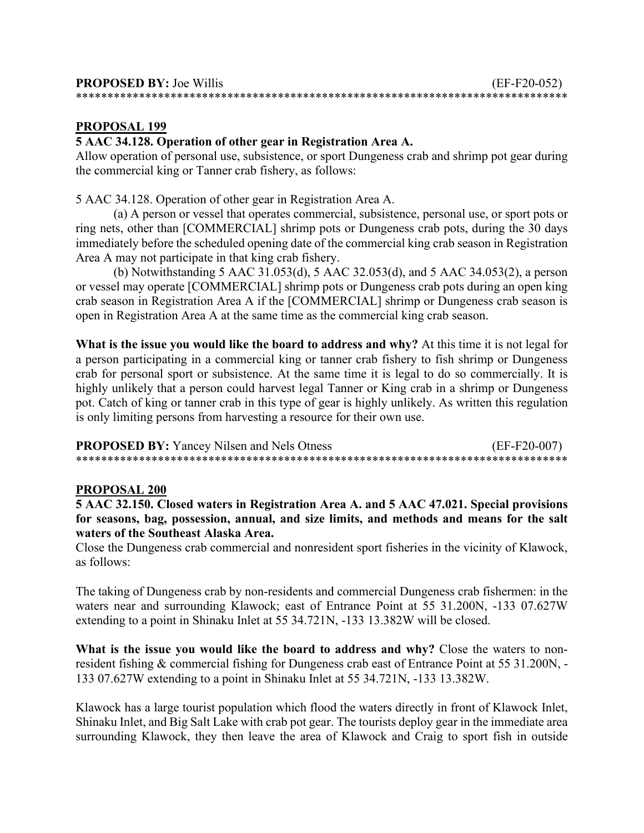### **PROPOSAL 199**

## **5 AAC 34.128. Operation of other gear in Registration Area A.**

Allow operation of personal use, subsistence, or sport Dungeness crab and shrimp pot gear during the commercial king or Tanner crab fishery, as follows:

5 AAC 34.128. Operation of other gear in Registration Area A.

(a) A person or vessel that operates commercial, subsistence, personal use, or sport pots or ring nets, other than [COMMERCIAL] shrimp pots or Dungeness crab pots, during the 30 days immediately before the scheduled opening date of the commercial king crab season in Registration Area A may not participate in that king crab fishery.

(b) Notwithstanding 5 AAC 31.053(d), 5 AAC 32.053(d), and 5 AAC 34.053(2), a person or vessel may operate [COMMERCIAL] shrimp pots or Dungeness crab pots during an open king crab season in Registration Area A if the [COMMERCIAL] shrimp or Dungeness crab season is open in Registration Area A at the same time as the commercial king crab season.

**What is the issue you would like the board to address and why?** At this time it is not legal for a person participating in a commercial king or tanner crab fishery to fish shrimp or Dungeness crab for personal sport or subsistence. At the same time it is legal to do so commercially. It is highly unlikely that a person could harvest legal Tanner or King crab in a shrimp or Dungeness pot. Catch of king or tanner crab in this type of gear is highly unlikely. As written this regulation is only limiting persons from harvesting a resource for their own use.

| <b>PROPOSED BY:</b> Yancey Nilsen and Nels Otness | (EF-F20-007) |
|---------------------------------------------------|--------------|
|                                                   |              |

### **PROPOSAL 200**

**5 AAC 32.150. Closed waters in Registration Area A. and 5 AAC 47.021. Special provisions for seasons, bag, possession, annual, and size limits, and methods and means for the salt waters of the Southeast Alaska Area.**

Close the Dungeness crab commercial and nonresident sport fisheries in the vicinity of Klawock, as follows:

The taking of Dungeness crab by non-residents and commercial Dungeness crab fishermen: in the waters near and surrounding Klawock; east of Entrance Point at 55 31.200N, -133 07.627W extending to a point in Shinaku Inlet at 55 34.721N, -133 13.382W will be closed.

**What is the issue you would like the board to address and why?** Close the waters to nonresident fishing & commercial fishing for Dungeness crab east of Entrance Point at 55 31.200N, - 133 07.627W extending to a point in Shinaku Inlet at 55 34.721N, -133 13.382W.

Klawock has a large tourist population which flood the waters directly in front of Klawock Inlet, Shinaku Inlet, and Big Salt Lake with crab pot gear. The tourists deploy gear in the immediate area surrounding Klawock, they then leave the area of Klawock and Craig to sport fish in outside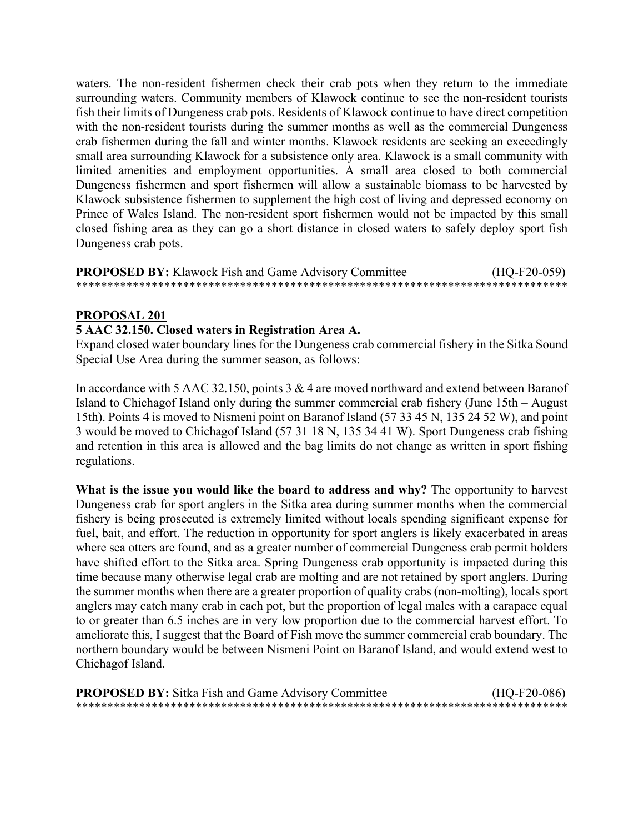waters. The non-resident fishermen check their crab pots when they return to the immediate surrounding waters. Community members of Klawock continue to see the non-resident tourists fish their limits of Dungeness crab pots. Residents of Klawock continue to have direct competition with the non-resident tourists during the summer months as well as the commercial Dungeness crab fishermen during the fall and winter months. Klawock residents are seeking an exceedingly small area surrounding Klawock for a subsistence only area. Klawock is a small community with limited amenities and employment opportunities. A small area closed to both commercial Dungeness fishermen and sport fishermen will allow a sustainable biomass to be harvested by Klawock subsistence fishermen to supplement the high cost of living and depressed economy on Prince of Wales Island. The non-resident sport fishermen would not be impacted by this small closed fishing area as they can go a short distance in closed waters to safely deploy sport fish Dungeness crab pots.

#### **PROPOSED BY:** Klawock Fish and Game Advisory Committee (HQ-F20-059) \*\*\*\*\*\*\*\*\*\*\*\*\*\*\*\*\*\*\*\*\*\*\*\*\*\*\*\*\*\*\*\*\*\*\*\*\*\*\*\*\*\*\*\*\*\*\*\*\*\*\*\*\*\*\*\*\*\*\*\*\*\*\*\*\*\*\*\*\*\*\*\*\*\*\*\*\*\*

### **PROPOSAL 201**

#### **5 AAC 32.150. Closed waters in Registration Area A.**

Expand closed water boundary lines for the Dungeness crab commercial fishery in the Sitka Sound Special Use Area during the summer season, as follows:

In accordance with 5 AAC 32.150, points 3 & 4 are moved northward and extend between Baranof Island to Chichagof Island only during the summer commercial crab fishery (June 15th – August 15th). Points 4 is moved to Nismeni point on Baranof Island (57 33 45 N, 135 24 52 W), and point 3 would be moved to Chichagof Island (57 31 18 N, 135 34 41 W). Sport Dungeness crab fishing and retention in this area is allowed and the bag limits do not change as written in sport fishing regulations.

**What is the issue you would like the board to address and why?** The opportunity to harvest Dungeness crab for sport anglers in the Sitka area during summer months when the commercial fishery is being prosecuted is extremely limited without locals spending significant expense for fuel, bait, and effort. The reduction in opportunity for sport anglers is likely exacerbated in areas where sea otters are found, and as a greater number of commercial Dungeness crab permit holders have shifted effort to the Sitka area. Spring Dungeness crab opportunity is impacted during this time because many otherwise legal crab are molting and are not retained by sport anglers. During the summer months when there are a greater proportion of quality crabs (non-molting), locals sport anglers may catch many crab in each pot, but the proportion of legal males with a carapace equal to or greater than 6.5 inches are in very low proportion due to the commercial harvest effort. To ameliorate this, I suggest that the Board of Fish move the summer commercial crab boundary. The northern boundary would be between Nismeni Point on Baranof Island, and would extend west to Chichagof Island.

| <b>PROPOSED BY:</b> Sitka Fish and Game Advisory Committee | $(HQ-F20-086)$ |
|------------------------------------------------------------|----------------|
|                                                            |                |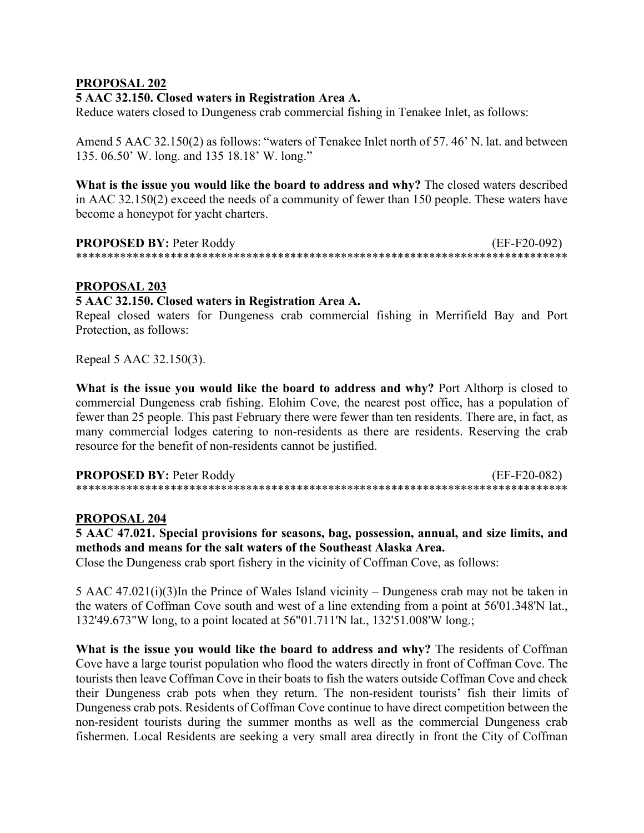## PROPOSAL 202

### 5 AAC 32.150. Closed waters in Registration Area A.

Reduce waters closed to Dungeness crab commercial fishing in Tenakee Inlet, as follows:

Amend 5 AAC 32.150(2) as follows: "waters of Tenakee Inlet north of 57.46' N. lat. and between 135. 06.50' W. long. and 135 18.18' W. long."

What is the issue you would like the board to address and why? The closed waters described in AAC 32.150(2) exceed the needs of a community of fewer than 150 people. These waters have become a honeypot for yacht charters.

| <b>PROPOSED BY: Peter Roddy</b> | $(EF-F20-092)$ |
|---------------------------------|----------------|
|                                 |                |

### **PROPOSAL 203**

### 5 AAC 32.150. Closed waters in Registration Area A.

Repeal closed waters for Dungeness crab commercial fishing in Merrifield Bay and Port Protection, as follows:

Repeal 5 AAC 32.150(3).

What is the issue you would like the board to address and why? Port Althorp is closed to commercial Dungeness crab fishing. Elohim Cove, the nearest post office, has a population of fewer than 25 people. This past February there were fewer than ten residents. There are, in fact, as many commercial lodges catering to non-residents as there are residents. Reserving the crab resource for the benefit of non-residents cannot be justified.

| <b>PROPOSED BY: Peter Roddy</b> | $(EF-F20-082)$ |
|---------------------------------|----------------|
|                                 |                |

#### **PROPOSAL 204**

5 AAC 47.021. Special provisions for seasons, bag, possession, annual, and size limits, and methods and means for the salt waters of the Southeast Alaska Area.

Close the Dungeness crab sport fishery in the vicinity of Coffman Cove, as follows:

5 AAC 47.021(i)(3)In the Prince of Wales Island vicinity – Dungeness crab may not be taken in the waters of Coffman Cove south and west of a line extending from a point at 56'01.348'N lat., 132'49.673"W long, to a point located at 56"01.711'N lat., 132'51.008'W long.;

What is the issue you would like the board to address and why? The residents of Coffman Cove have a large tourist population who flood the waters directly in front of Coffman Cove. The tourists then leave Coffman Cove in their boats to fish the waters outside Coffman Cove and check their Dungeness crab pots when they return. The non-resident tourists' fish their limits of Dungeness crab pots. Residents of Coffman Cove continue to have direct competition between the non-resident tourists during the summer months as well as the commercial Dungeness crab fishermen. Local Residents are seeking a very small area directly in front the City of Coffman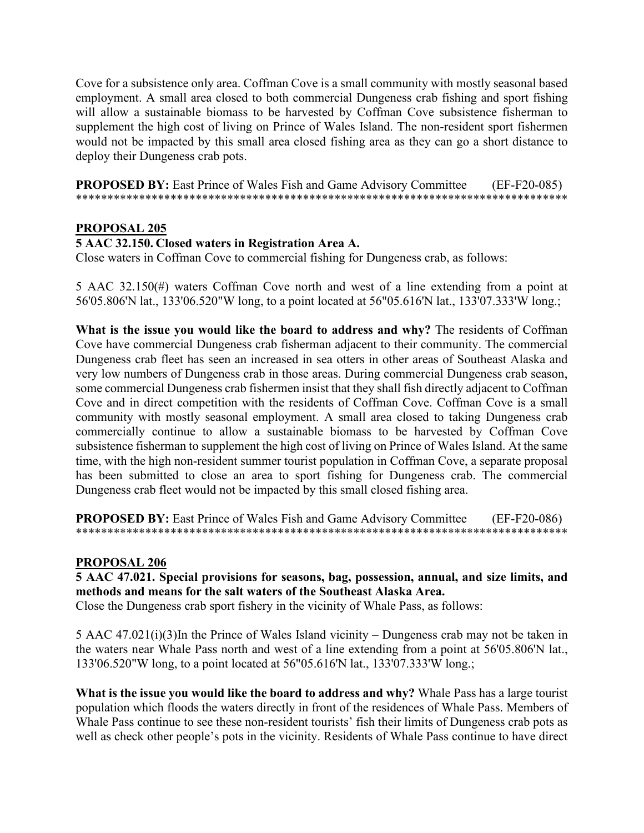Cove for a subsistence only area. Coffman Cove is a small community with mostly seasonal based employment. A small area closed to both commercial Dungeness crab fishing and sport fishing will allow a sustainable biomass to be harvested by Coffman Cove subsistence fisherman to supplement the high cost of living on Prince of Wales Island. The non-resident sport fishermen would not be impacted by this small area closed fishing area as they can go a short distance to deploy their Dungeness crab pots.

**PROPOSED BY:** East Prince of Wales Fish and Game Advisory Committee (EF-F20-085) \*\*\*\*\*\*\*\*\*\*\*\*\*\*\*\*\*\*\*\*\*\*\*\*\*\*\*\*\*\*\*\*\*\*\*\*\*\*\*\*\*\*\*\*\*\*\*\*\*\*\*\*\*\*\*\*\*\*\*\*\*\*\*\*\*\*\*\*\*\*\*\*\*\*\*\*\*\*

### **PROPOSAL 205**

### **5 AAC 32.150. Closed waters in Registration Area A.**

Close waters in Coffman Cove to commercial fishing for Dungeness crab, as follows:

5 AAC 32.150(#) waters Coffman Cove north and west of a line extending from a point at 56'05.806'N lat., 133'06.520"W long, to a point located at 56"05.616'N lat., 133'07.333'W long.;

**What is the issue you would like the board to address and why?** The residents of Coffman Cove have commercial Dungeness crab fisherman adjacent to their community. The commercial Dungeness crab fleet has seen an increased in sea otters in other areas of Southeast Alaska and very low numbers of Dungeness crab in those areas. During commercial Dungeness crab season, some commercial Dungeness crab fishermen insist that they shall fish directly adjacent to Coffman Cove and in direct competition with the residents of Coffman Cove. Coffman Cove is a small community with mostly seasonal employment. A small area closed to taking Dungeness crab commercially continue to allow a sustainable biomass to be harvested by Coffman Cove subsistence fisherman to supplement the high cost of living on Prince of Wales Island. At the same time, with the high non-resident summer tourist population in Coffman Cove, a separate proposal has been submitted to close an area to sport fishing for Dungeness crab. The commercial Dungeness crab fleet would not be impacted by this small closed fishing area.

**PROPOSED BY:** East Prince of Wales Fish and Game Advisory Committee (EF-F20-086) \*\*\*\*\*\*\*\*\*\*\*\*\*\*\*\*\*\*\*\*\*\*\*\*\*\*\*\*\*\*\*\*\*\*\*\*\*\*\*\*\*\*\*\*\*\*\*\*\*\*\*\*\*\*\*\*\*\*\*\*\*\*\*\*\*\*\*\*\*\*\*\*\*\*\*\*\*\*

#### **PROPOSAL 206**

**5 AAC 47.021. Special provisions for seasons, bag, possession, annual, and size limits, and methods and means for the salt waters of the Southeast Alaska Area.**

Close the Dungeness crab sport fishery in the vicinity of Whale Pass, as follows:

5 AAC 47.021(i)(3)In the Prince of Wales Island vicinity – Dungeness crab may not be taken in the waters near Whale Pass north and west of a line extending from a point at 56'05.806'N lat., 133'06.520"W long, to a point located at 56"05.616'N lat., 133'07.333'W long.;

**What is the issue you would like the board to address and why?** Whale Pass has a large tourist population which floods the waters directly in front of the residences of Whale Pass. Members of Whale Pass continue to see these non-resident tourists' fish their limits of Dungeness crab pots as well as check other people's pots in the vicinity. Residents of Whale Pass continue to have direct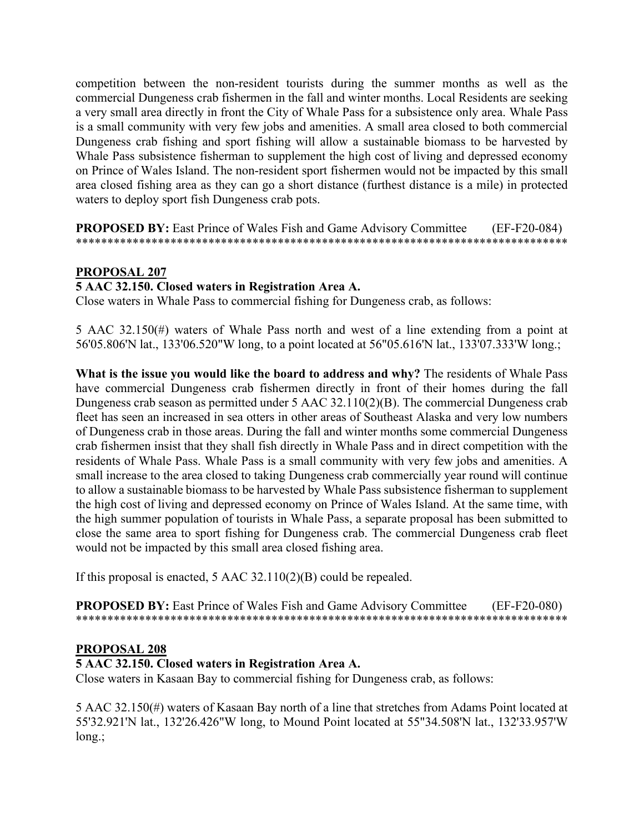competition between the non-resident tourists during the summer months as well as the commercial Dungeness crab fishermen in the fall and winter months. Local Residents are seeking a very small area directly in front the City of Whale Pass for a subsistence only area. Whale Pass is a small community with very few jobs and amenities. A small area closed to both commercial Dungeness crab fishing and sport fishing will allow a sustainable biomass to be harvested by Whale Pass subsistence fisherman to supplement the high cost of living and depressed economy on Prince of Wales Island. The non-resident sport fishermen would not be impacted by this small area closed fishing area as they can go a short distance (furthest distance is a mile) in protected waters to deploy sport fish Dungeness crab pots.

**PROPOSED BY:** East Prince of Wales Fish and Game Advisory Committee (EF-F20-084) \*\*\*\*\*\*\*\*\*\*\*\*\*\*\*\*\*\*\*\*\*\*\*\*\*\*\*\*\*\*\*\*\*\*\*\*\*\*\*\*\*\*\*\*\*\*\*\*\*\*\*\*\*\*\*\*\*\*\*\*\*\*\*\*\*\*\*\*\*\*\*\*\*\*\*\*\*\*

### **PROPOSAL 207**

### **5 AAC 32.150. Closed waters in Registration Area A.**

Close waters in Whale Pass to commercial fishing for Dungeness crab, as follows:

5 AAC 32.150(#) waters of Whale Pass north and west of a line extending from a point at 56'05.806'N lat., 133'06.520"W long, to a point located at 56"05.616'N lat., 133'07.333'W long.;

**What is the issue you would like the board to address and why?** The residents of Whale Pass have commercial Dungeness crab fishermen directly in front of their homes during the fall Dungeness crab season as permitted under 5 AAC 32.110(2)(B). The commercial Dungeness crab fleet has seen an increased in sea otters in other areas of Southeast Alaska and very low numbers of Dungeness crab in those areas. During the fall and winter months some commercial Dungeness crab fishermen insist that they shall fish directly in Whale Pass and in direct competition with the residents of Whale Pass. Whale Pass is a small community with very few jobs and amenities. A small increase to the area closed to taking Dungeness crab commercially year round will continue to allow a sustainable biomass to be harvested by Whale Pass subsistence fisherman to supplement the high cost of living and depressed economy on Prince of Wales Island. At the same time, with the high summer population of tourists in Whale Pass, a separate proposal has been submitted to close the same area to sport fishing for Dungeness crab. The commercial Dungeness crab fleet would not be impacted by this small area closed fishing area.

If this proposal is enacted, 5 AAC 32.110(2)(B) could be repealed.

**PROPOSED BY:** East Prince of Wales Fish and Game Advisory Committee (EF-F20-080) \*\*\*\*\*\*\*\*\*\*\*\*\*\*\*\*\*\*\*\*\*\*\*\*\*\*\*\*\*\*\*\*\*\*\*\*\*\*\*\*\*\*\*\*\*\*\*\*\*\*\*\*\*\*\*\*\*\*\*\*\*\*\*\*\*\*\*\*\*\*\*\*\*\*\*\*\*\*

#### **PROPOSAL 208**

### **5 AAC 32.150. Closed waters in Registration Area A.**

Close waters in Kasaan Bay to commercial fishing for Dungeness crab, as follows:

5 AAC 32.150(#) waters of Kasaan Bay north of a line that stretches from Adams Point located at 55'32.921'N lat., 132'26.426"W long, to Mound Point located at 55"34.508'N lat., 132'33.957'W long.;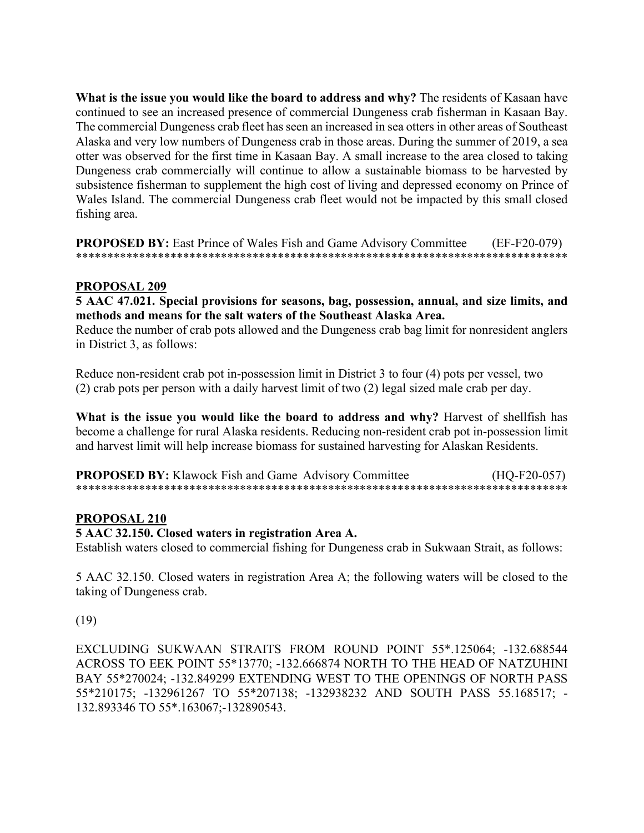What is the issue you would like the board to address and why? The residents of Kasaan have continued to see an increased presence of commercial Dungeness crab fisherman in Kasaan Bay. The commercial Dungeness crab fleet has seen an increased in sea otters in other areas of Southeast Alaska and very low numbers of Dungeness crab in those areas. During the summer of 2019, a sea otter was observed for the first time in Kasaan Bay. A small increase to the area closed to taking Dungeness crab commercially will continue to allow a sustainable biomass to be harvested by subsistence fisherman to supplement the high cost of living and depressed economy on Prince of Wales Island. The commercial Dungeness crab fleet would not be impacted by this small closed fishing area.

**PROPOSED BY:** East Prince of Wales Fish and Game Advisory Committee  $(EF-F20-079)$ 

### **PROPOSAL 209**

5 AAC 47.021. Special provisions for seasons, bag, possession, annual, and size limits, and methods and means for the salt waters of the Southeast Alaska Area.

Reduce the number of crab pots allowed and the Dungeness crab bag limit for nonresident anglers in District 3, as follows:

Reduce non-resident crab pot in-possession limit in District 3 to four (4) pots per vessel, two (2) crab pots per person with a daily harvest limit of two (2) legal sized male crab per day.

What is the issue you would like the board to address and why? Harvest of shellfish has become a challenge for rural Alaska residents. Reducing non-resident crab pot in-possession limit and harvest limit will help increase biomass for sustained harvesting for Alaskan Residents.

**PROPOSED BY:** Klawock Fish and Game Advisory Committee  $(HQ-F20-057)$ 

#### **PROPOSAL 210**

#### 5 AAC 32.150. Closed waters in registration Area A.

Establish waters closed to commercial fishing for Dungeness crab in Sukwaan Strait, as follows:

5 AAC 32.150. Closed waters in registration Area A; the following waters will be closed to the taking of Dungeness crab.

#### $(19)$

EXCLUDING SUKWAAN STRAITS FROM ROUND POINT 55\*.125064; -132.688544 ACROSS TO EEK POINT 55\*13770; -132.666874 NORTH TO THE HEAD OF NATZUHINI BAY 55\*270024; -132.849299 EXTENDING WEST TO THE OPENINGS OF NORTH PASS 55\*210175; -132961267 TO 55\*207138; -132938232 AND SOUTH PASS 55.168517; -132.893346 TO 55\*.163067;-132890543.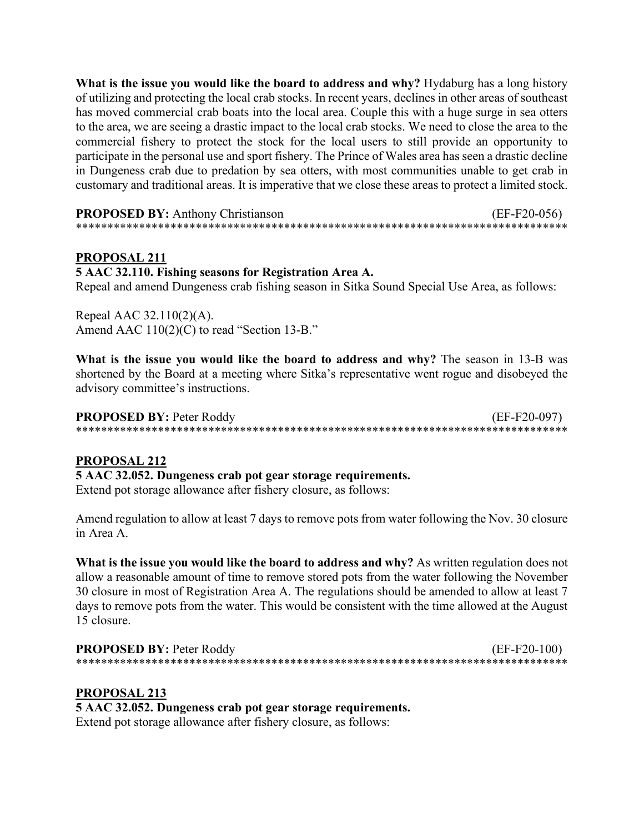What is the issue you would like the board to address and why? Hydaburg has a long history of utilizing and protecting the local crab stocks. In recent years, declines in other areas of southeast has moved commercial crab boats into the local area. Couple this with a huge surge in sea otters to the area, we are seeing a drastic impact to the local crab stocks. We need to close the area to the commercial fishery to protect the stock for the local users to still provide an opportunity to participate in the personal use and sport fishery. The Prince of Wales area has seen a drastic decline in Dungeness crab due to predation by sea otters, with most communities unable to get crab in customary and traditional areas. It is imperative that we close these areas to protect a limited stock.

| <b>PROPOSED BY:</b> Anthony Christianson | $(EF-F20-056)$ |
|------------------------------------------|----------------|
|                                          |                |

### **PROPOSAL 211**

#### 5 AAC 32.110. Fishing seasons for Registration Area A.

Repeal and amend Dungeness crab fishing season in Sitka Sound Special Use Area, as follows:

Repeal AAC 32.110(2)(A). Amend AAC 110(2)(C) to read "Section 13-B."

What is the issue you would like the board to address and why? The season in 13-B was shortened by the Board at a meeting where Sitka's representative went rogue and disobeyed the advisory committee's instructions.

**PROPOSED BY: Peter Roddy**  $(EF-F20-097)$ 

### PROPOSAL 212

5 AAC 32.052. Dungeness crab pot gear storage requirements.

Extend pot storage allowance after fishery closure, as follows:

Amend regulation to allow at least 7 days to remove pots from water following the Nov. 30 closure in Area A.

What is the issue you would like the board to address and why? As written regulation does not allow a reasonable amount of time to remove stored pots from the water following the November 30 closure in most of Registration Area A. The regulations should be amended to allow at least 7 days to remove pots from the water. This would be consistent with the time allowed at the August 15 closure.

| <b>PROPOSED BY: Peter Roddy</b> | $(EF-F20-100)$ |
|---------------------------------|----------------|
|                                 |                |

#### **PROPOSAL 213**

5 AAC 32.052. Dungeness crab pot gear storage requirements. Extend pot storage allowance after fishery closure, as follows: